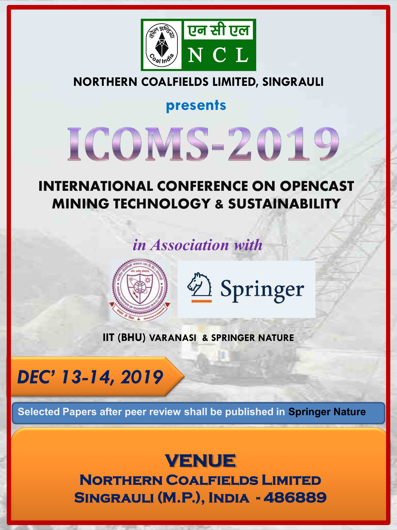

## **NORTHERN COALFIELDS LIMITED, SINGRAULI**

**presents** 

# ICOMS-2019

## **INTERNATIONAL CONFERENCE ON OPENCAST MINING TECHNOLOGY & SUSTAINABILITY**

## *in Association with*



2 Springer

**IIT (BHU) VARANASI & SPRINGER NATURE** 

# *DEC' 13-14, 2019*

**Selected Papers after peer review shall be published in Springer Nature** 

**VENUE Northern Coalfields Limited Singrauli (M.P.), India - 486889**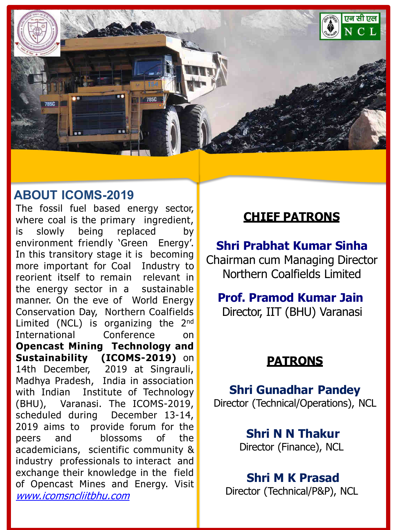

## **ABOUT ICOMS-2019**

The fossil fuel based energy sector, where coal is the primary ingredient, is slowly being replaced by environment friendly 'Green Energy'. In this transitory stage it is becoming more important for Coal Industry to reorient itself to remain relevant in the energy sector in a sustainable manner. On the eve of World Energy Conservation Day, Northern Coalfields Limited (NCL) is organizing the  $2^{nd}$ International Conference on **Opencast Mining Technology and Sustainability (ICOMS-2019)** on 14th December, 2019 at Singrauli, Madhya Pradesh, India in association with Indian Institute of Technology (BHU), Varanasi. The ICOMS-2019, scheduled during December 13-14, 2019 aims to provide forum for the peers and blossoms of the academicians, scientific community & industry professionals to interact and exchange their knowledge in the field of Opencast Mines and Energy. Visit [www.icomsncliitbhu.com](http://www.icomsncliitbhu.com/)

## **CHIEF PATRONS**

**Shri Prabhat Kumar Sinha**  Chairman cum Managing Director Northern Coalfields Limited

**Prof. Pramod Kumar Jain**  Director, IIT (BHU) Varanasi

## **PATRONS**

**Shri Gunadhar Pandey** Director (Technical/Operations), NCL

> **Shri N N Thakur** Director (Finance), NCL

**Shri M K Prasad** Director (Technical/P&P), NCL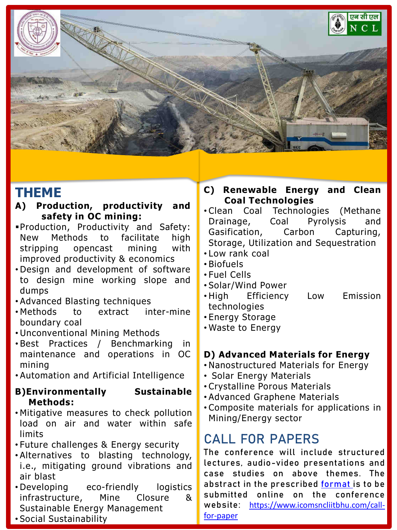

## **THEME**

- **A) Production, productivity and safety in OC mining:**
- Production, Productivity and Safety: New Methods to facilitate high stripping opencast mining with improved productivity & economics
- Design and development of software to design mine working slope and dumps
- Advanced Blasting techniques
- Methods to extract inter-mine boundary coal
- Unconventional Mining Methods
- Best Practices / Benchmarking in maintenance and operations in OC mining
- Automation and Artificial Intelligence

#### **B)Environmentally Sustainable Methods:**

- Mitigative measures to check pollution load on air and water within safe limits
- Future challenges & Energy security
- Alternatives to blasting technology, i.e., mitigating ground vibrations and air blast
- Developing eco-friendly logistics infrastructure, Mine Closure & Sustainable Energy Management
- Social Sustainability
- **C) Renewable Energy and Clean Coal Technologies**
- Clean Coal Technologies (Methane Drainage, Coal Pyrolysis and Gasification, Carbon Capturing, Storage, Utilization and Sequestration
- Low rank coal
- Biofuels
- Fuel Cells
- Solar/Wind Power
- High Efficiency Low Emission technologies
- Energy Storage
- Waste to Energy

#### **D) Advanced Materials for Energy**

- Nanostructured Materials for Energy
- Solar Energy Materials
- Crystalline Porous Materials
- Advanced Graphene Materials
- Composite materials for applications in Mining/Energy sector

## **CALL FOR PAPERS**

The conference will include structured lectures, audio-video presentations and case studies on above themes. The abstract in the prescribed [format](https://docs.wixstatic.com/ugd/9ee29c_0b560a97f00741b681763d0332e31500.doc?dn=Paper Format-ICOMS-19.doc) is to be submitted online on the conference website: [https://www.icomsncliitbhu.com/call](https://www.icomsncliitbhu.com/call-for-paper)[for-paper](https://www.icomsncliitbhu.com/call-for-paper)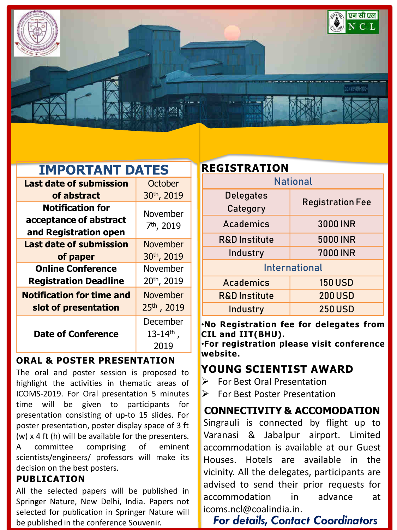

| <b>IMPORTANT DATES</b> |  |
|------------------------|--|
|------------------------|--|

| <b>Last date of submission</b>                                             | October                                       |
|----------------------------------------------------------------------------|-----------------------------------------------|
| of abstract                                                                | 30th, 2019                                    |
| <b>Notification for</b><br>acceptance of abstract<br>and Registration open | November<br>7 <sup>th</sup> , 2019            |
| <b>Last date of submission</b><br>of paper                                 | <b>November</b><br>30th, 2019                 |
| <b>Online Conference</b><br><b>Registration Deadline</b>                   | November<br>20 <sup>th</sup> , 2019           |
| <b>Notification for time and</b><br>slot of presentation                   | <b>November</b><br>25th, 2019                 |
| <b>Date of Conference</b>                                                  | December<br>$13 - 14$ <sup>th</sup> ,<br>2019 |

#### **ORAL & POSTER PRESENTATION**

The oral and poster session is proposed to highlight the activities in thematic areas of ICOMS-2019. For Oral presentation 5 minutes time will be given to participants for presentation consisting of up-to 15 slides. For poster presentation, poster display space of 3 ft (w) x 4 ft (h) will be available for the presenters. A committee comprising of eminent scientists/engineers/ professors will make its decision on the best posters.

#### **PUBLICATION**

All the selected papers will be published in Springer Nature, New Delhi, India. Papers not selected for publication in Springer Nature will be published in the conference Souvenir.

| <b>REGISTRATION</b>          |                         |  |
|------------------------------|-------------------------|--|
|                              | <b>National</b>         |  |
| <b>Delegates</b><br>Category | <b>Registration Fee</b> |  |
| Academics                    | 3000 INR                |  |
| <b>R&amp;D Institute</b>     | <b>5000 INR</b>         |  |
| Industry                     | <b>7000 INR</b>         |  |
|                              | <b>International</b>    |  |
| <b>Academics</b>             | <b>150 USD</b>          |  |
| <b>R&amp;D Institute</b>     | <b>200 USD</b>          |  |
| Industry                     | <b>250 USD</b>          |  |
|                              |                         |  |

•**No Registration fee for delegates from CIL and IIT(BHU).** 

•**For registration please visit conference website.** 

## **YOUNG SCIENTIST AWARD**

- $\triangleright$  For Best Oral Presentation
- **For Best Poster Presentation**

**CONNECTIVITY & ACCOMODATION**  Singrauli is connected by flight up to Varanasi & Jabalpur airport. Limited accommodation is available at our Guest Houses. Hotels are available in the vicinity. All the delegates, participants are advised to send their prior requests for accommodation in advance at icoms.ncl@coalindia.in.

## *For details, Contact Coordinators*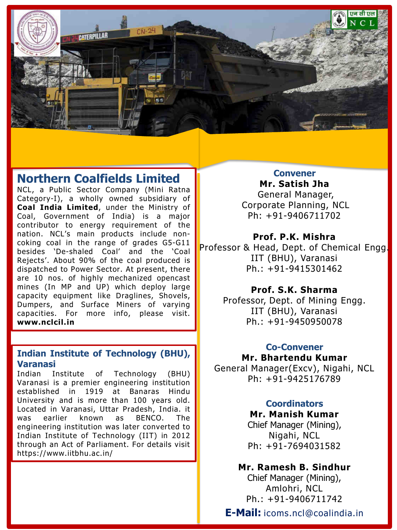

## **Northern Coalfields Limited**

NCL, a Public Sector Company (Mini Ratna Category-I), a wholly owned subsidiary of **Coal India Limited**, under the Ministry of Coal, Government of India) is a major contributor to energy requirement of the nation. NCL's main products include noncoking coal in the range of grades G5-G11 besides 'De-shaled Coal' and the 'Coal Rejects'. About 90% of the coal produced is dispatched to Power Sector. At present, there are 10 nos. of highly mechanized opencast mines (In MP and UP) which deploy large capacity equipment like Draglines, Shovels, Dumpers, and Surface Miners of varying capacities. For more info, please visit. **www.nclcil.in**

#### **Indian Institute of Technology (BHU), Varanasi**

Indian Institute of Technology (BHU) Varanasi is a premier engineering institution established in 1919 at Banaras Hindu University and is more than 100 years old. Located in Varanasi, Uttar Pradesh, India. it was earlier known as BENCO. The engineering institution was later converted to Indian Institute of Technology (IIT) in 2012 through an Act of Parliament. For details visit https://www.iitbhu.ac.in/

**Convener Mr. Satish Jha**  General Manager, Corporate Planning, NCL Ph: +91-9406711702

#### **Prof. P.K. Mishra**

Professor & Head, Dept. of Chemical Engg. IIT (BHU), Varanasi Ph.: +91-9415301462

#### **Prof. S.K. Sharma**

Professor, Dept. of Mining Engg. IIT (BHU), Varanasi Ph.: +91-9450950078

#### **Co-Convener**

**Mr. Bhartendu Kumar**  General Manager(Excv), Nigahi, NCL Ph: +91-9425176789

#### **Coordinators**

**Mr. Manish Kumar**  Chief Manager (Mining), Nigahi, NCL Ph: +91-7694031582

#### **Mr. Ramesh B. Sindhur**

Chief Manager (Mining), Amlohri, NCL Ph.: +91-9406711742

**E-Mail:** icoms.ncl@coalindia.in